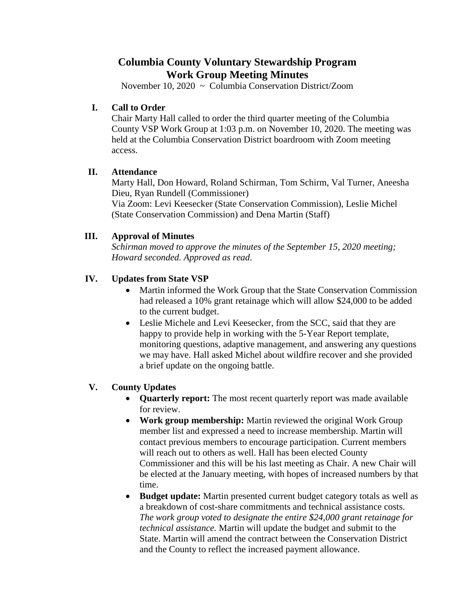# **Columbia County Voluntary Stewardship Program Work Group Meeting Minutes**

November 10, 2020 ~ Columbia Conservation District/Zoom

### **I. Call to Order**

Chair Marty Hall called to order the third quarter meeting of the Columbia County VSP Work Group at 1:03 p.m. on November 10, 2020. The meeting was held at the Columbia Conservation District boardroom with Zoom meeting access.

### **II. Attendance**

Marty Hall, Don Howard, Roland Schirman, Tom Schirm, Val Turner, Aneesha Dieu, Ryan Rundell (Commissioner)

Via Zoom: Levi Keesecker (State Conservation Commission), Leslie Michel (State Conservation Commission) and Dena Martin (Staff)

# **III. Approval of Minutes**

*Schirman moved to approve the minutes of the September 15, 2020 meeting; Howard seconded. Approved as read*.

### **IV. Updates from State VSP**

- Martin informed the Work Group that the State Conservation Commission had released a 10% grant retainage which will allow \$24,000 to be added to the current budget.
- Leslie Michele and Levi Keesecker, from the SCC, said that they are happy to provide help in working with the 5-Year Report template, monitoring questions, adaptive management, and answering any questions we may have. Hall asked Michel about wildfire recover and she provided a brief update on the ongoing battle.

# **V. County Updates**

- **Quarterly report:** The most recent quarterly report was made available for review.
- **Work group membership:** Martin reviewed the original Work Group member list and expressed a need to increase membership. Martin will contact previous members to encourage participation. Current members will reach out to others as well. Hall has been elected County Commissioner and this will be his last meeting as Chair. A new Chair will be elected at the January meeting, with hopes of increased numbers by that time.
- **Budget update:** Martin presented current budget category totals as well as a breakdown of cost-share commitments and technical assistance costs. *The work group voted to designate the entire \$24,000 grant retainage for technical assistance.* Martin will update the budget and submit to the State. Martin will amend the contract between the Conservation District and the County to reflect the increased payment allowance.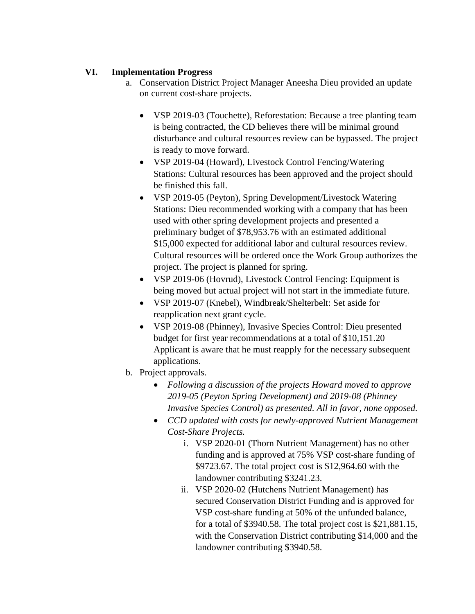### **VI. Implementation Progress**

- a. Conservation District Project Manager Aneesha Dieu provided an update on current cost-share projects.
	- VSP 2019-03 (Touchette), Reforestation: Because a tree planting team is being contracted, the CD believes there will be minimal ground disturbance and cultural resources review can be bypassed. The project is ready to move forward.
	- VSP 2019-04 (Howard), Livestock Control Fencing/Watering Stations: Cultural resources has been approved and the project should be finished this fall.
	- VSP 2019-05 (Peyton), Spring Development/Livestock Watering Stations: Dieu recommended working with a company that has been used with other spring development projects and presented a preliminary budget of \$78,953.76 with an estimated additional \$15,000 expected for additional labor and cultural resources review. Cultural resources will be ordered once the Work Group authorizes the project. The project is planned for spring.
	- VSP 2019-06 (Hovrud), Livestock Control Fencing: Equipment is being moved but actual project will not start in the immediate future.
	- VSP 2019-07 (Knebel), Windbreak/Shelterbelt: Set aside for reapplication next grant cycle.
	- VSP 2019-08 (Phinney), Invasive Species Control: Dieu presented budget for first year recommendations at a total of \$10,151.20 Applicant is aware that he must reapply for the necessary subsequent applications.
- b. Project approvals.
	- *Following a discussion of the projects Howard moved to approve 2019-05 (Peyton Spring Development) and 2019-08 (Phinney Invasive Species Control) as presented. All in favor, none opposed.*
	- *CCD updated with costs for newly-approved Nutrient Management Cost-Share Projects.*
		- i. VSP 2020-01 (Thorn Nutrient Management) has no other funding and is approved at 75% VSP cost-share funding of \$9723.67. The total project cost is \$12,964.60 with the landowner contributing \$3241.23.
		- ii. VSP 2020-02 (Hutchens Nutrient Management) has secured Conservation District Funding and is approved for VSP cost-share funding at 50% of the unfunded balance, for a total of \$3940.58. The total project cost is \$21,881.15, with the Conservation District contributing \$14,000 and the landowner contributing \$3940.58.